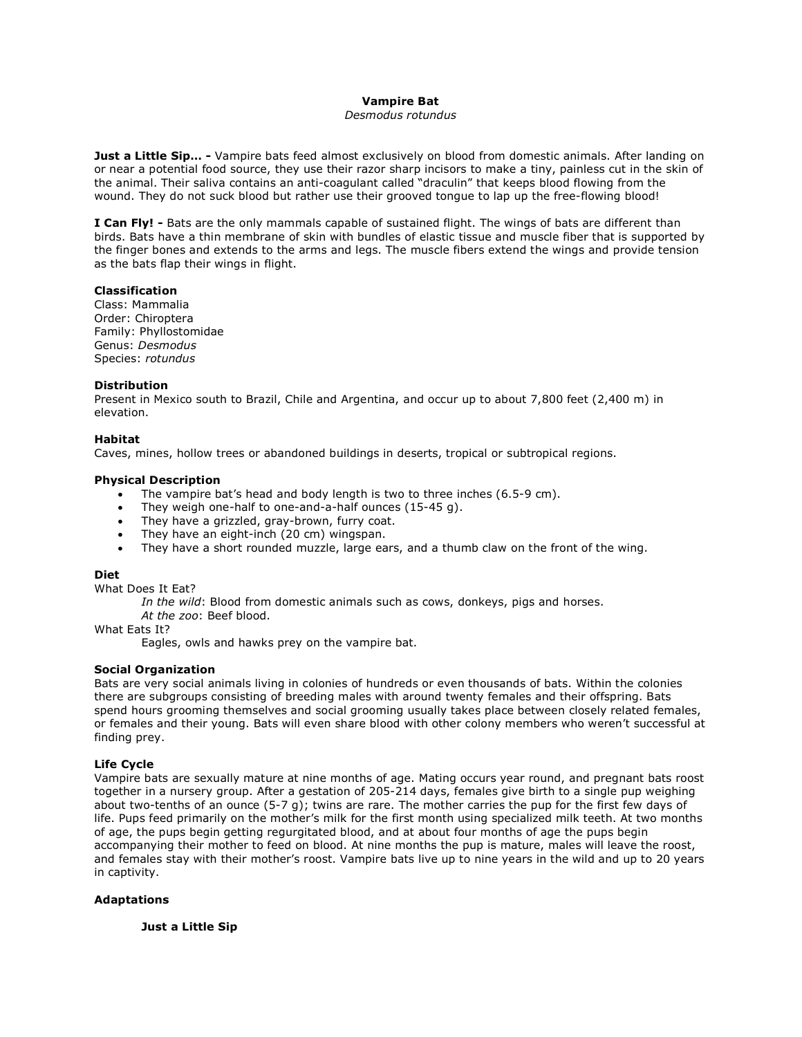# **Vampire Bat**

## *Desmodus rotundus*

**Just a Little Sip… -** Vampire bats feed almost exclusively on blood from domestic animals. After landing on or near a potential food source, they use their razor sharp incisors to make a tiny, painless cut in the skin of the animal. Their saliva contains an anti-coagulant called "draculin" that keeps blood flowing from the wound. They do not suck blood but rather use their grooved tongue to lap up the free-flowing blood!

**I Can Fly! -** Bats are the only mammals capable of sustained flight. The wings of bats are different than birds. Bats have a thin membrane of skin with bundles of elastic tissue and muscle fiber that is supported by the finger bones and extends to the arms and legs. The muscle fibers extend the wings and provide tension as the bats flap their wings in flight.

## **Classification**

Class: Mammalia Order: Chiroptera Family: Phyllostomidae Genus: *Desmodus* Species: *rotundus*

### **Distribution**

Present in Mexico south to Brazil, Chile and Argentina, and occur up to about 7,800 feet (2,400 m) in elevation.

## **Habitat**

Caves, mines, hollow trees or abandoned buildings in deserts, tropical or subtropical regions.

## **Physical Description**

- The vampire bat's head and body length is two to three inches (6.5-9 cm).
- They weigh one-half to one-and-a-half ounces (15-45 g).
- They have a grizzled, gray-brown, furry coat.
- They have an eight-inch (20 cm) wingspan.
- They have a short rounded muzzle, large ears, and a thumb claw on the front of the wing.

### **Diet**

What Does It Eat?

*In the wild*: Blood from domestic animals such as cows, donkeys, pigs and horses.

*At the zoo*: Beef blood.

What Eats It?

Eagles, owls and hawks prey on the vampire bat.

## **Social Organization**

Bats are very social animals living in colonies of hundreds or even thousands of bats. Within the colonies there are subgroups consisting of breeding males with around twenty females and their offspring. Bats spend hours grooming themselves and social grooming usually takes place between closely related females, or females and their young. Bats will even share blood with other colony members who weren't successful at finding prey.

## **Life Cycle**

Vampire bats are sexually mature at nine months of age. Mating occurs year round, and pregnant bats roost together in a nursery group. After a gestation of 205-214 days, females give birth to a single pup weighing about two-tenths of an ounce (5-7 g); twins are rare. The mother carries the pup for the first few days of life. Pups feed primarily on the mother's milk for the first month using specialized milk teeth. At two months of age, the pups begin getting regurgitated blood, and at about four months of age the pups begin accompanying their mother to feed on blood. At nine months the pup is mature, males will leave the roost, and females stay with their mother's roost. Vampire bats live up to nine years in the wild and up to 20 years in captivity.

### **Adaptations**

**Just a Little Sip**